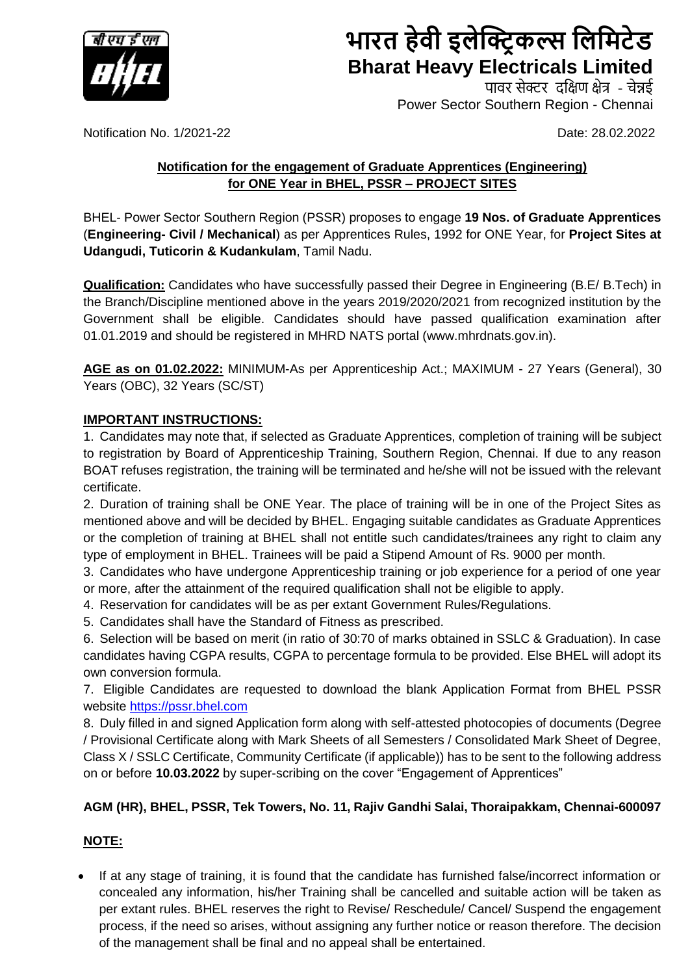

# **भारत हेवी इलेक्ट्रि कल् स लललिटेड Bharat Heavy Electricals Limited**

पावर सेक्टर दक्षिण क्षेत्र - चेन्नई Power Sector Southern Region - Chennai

Notification No. 1/2021-22 **Date: 28.02.2022** 

### **Notification for the engagement of Graduate Apprentices (Engineering) for ONE Year in BHEL, PSSR – PROJECT SITES**

BHEL- Power Sector Southern Region (PSSR) proposes to engage **19 Nos. of Graduate Apprentices** (**Engineering- Civil / Mechanical**) as per Apprentices Rules, 1992 for ONE Year, for **Project Sites at Udangudi, Tuticorin & Kudankulam**, Tamil Nadu.

**Qualification:** Candidates who have successfully passed their Degree in Engineering (B.E/ B.Tech) in the Branch/Discipline mentioned above in the years 2019/2020/2021 from recognized institution by the Government shall be eligible. Candidates should have passed qualification examination after 01.01.2019 and should be registered in MHRD NATS portal (www.mhrdnats.gov.in).

**AGE as on 01.02.2022:** MINIMUM-As per Apprenticeship Act.; MAXIMUM - 27 Years (General), 30 Years (OBC), 32 Years (SC/ST)

#### **IMPORTANT INSTRUCTIONS:**

1. Candidates may note that, if selected as Graduate Apprentices, completion of training will be subject to registration by Board of Apprenticeship Training, Southern Region, Chennai. If due to any reason BOAT refuses registration, the training will be terminated and he/she will not be issued with the relevant certificate.

2. Duration of training shall be ONE Year. The place of training will be in one of the Project Sites as mentioned above and will be decided by BHEL. Engaging suitable candidates as Graduate Apprentices or the completion of training at BHEL shall not entitle such candidates/trainees any right to claim any type of employment in BHEL. Trainees will be paid a Stipend Amount of Rs. 9000 per month.

3. Candidates who have undergone Apprenticeship training or job experience for a period of one year or more, after the attainment of the required qualification shall not be eligible to apply.

- 4. Reservation for candidates will be as per extant Government Rules/Regulations.
- 5. Candidates shall have the Standard of Fitness as prescribed.

6. Selection will be based on merit (in ratio of 30:70 of marks obtained in SSLC & Graduation). In case candidates having CGPA results, CGPA to percentage formula to be provided. Else BHEL will adopt its own conversion formula.

7. Eligible Candidates are requested to download the blank Application Format from BHEL PSSR website [https://pssr.bhel.com](https://pssr.bhel.com/)

8. Duly filled in and signed Application form along with self-attested photocopies of documents (Degree / Provisional Certificate along with Mark Sheets of all Semesters / Consolidated Mark Sheet of Degree, Class X / SSLC Certificate, Community Certificate (if applicable)) has to be sent to the following address on or before **10.03.2022** by super-scribing on the cover "Engagement of Apprentices"

#### **AGM (HR), BHEL, PSSR, Tek Towers, No. 11, Rajiv Gandhi Salai, Thoraipakkam, Chennai-600097**

#### **NOTE:**

• If at any stage of training, it is found that the candidate has furnished false/incorrect information or concealed any information, his/her Training shall be cancelled and suitable action will be taken as per extant rules. BHEL reserves the right to Revise/ Reschedule/ Cancel/ Suspend the engagement process, if the need so arises, without assigning any further notice or reason therefore. The decision of the management shall be final and no appeal shall be entertained.